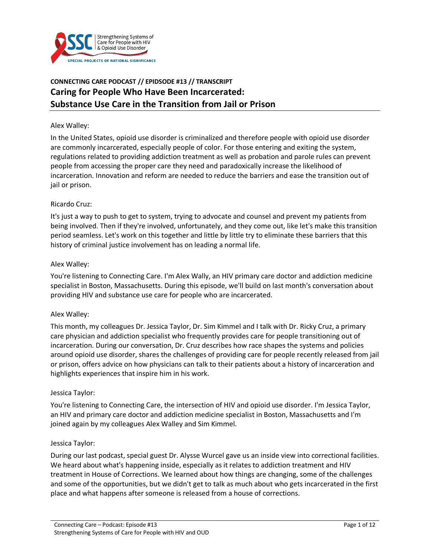

# **CONNECTING CARE PODCAST // EPIDSODE #13 // TRANSCRIPT Caring for People Who Have Been Incarcerated: Substance Use Care in the Transition from Jail or Prison**

#### Alex Walley:

In the United States, opioid use disorder is criminalized and therefore people with opioid use disorder are commonly incarcerated, especially people of color. For those entering and exiting the system, regulations related to providing addiction treatment as well as probation and parole rules can prevent people from accessing the proper care they need and paradoxically increase the likelihood of incarceration. Innovation and reform are needed to reduce the barriers and ease the transition out of jail or prison.

#### Ricardo Cruz:

It's just a way to push to get to system, trying to advocate and counsel and prevent my patients from being involved. Then if they're involved, unfortunately, and they come out, like let's make this transition period seamless. Let's work on this together and little by little try to eliminate these barriers that this history of criminal justice involvement has on leading a normal life.

#### Alex Walley:

You're listening to Connecting Care. I'm Alex Wally, an HIV primary care doctor and addiction medicine specialist in Boston, Massachusetts. During this episode, we'll build on last month's conversation about providing HIV and substance use care for people who are incarcerated.

### Alex Walley:

This month, my colleagues Dr. Jessica Taylor, Dr. Sim Kimmel and I talk with Dr. Ricky Cruz, a primary care physician and addiction specialist who frequently provides care for people transitioning out of incarceration. During our conversation, Dr. Cruz describes how race shapes the systems and policies around opioid use disorder, shares the challenges of providing care for people recently released from jail or prison, offers advice on how physicians can talk to their patients about a history of incarceration and highlights experiences that inspire him in his work.

#### Jessica Taylor:

You're listening to Connecting Care, the intersection of HIV and opioid use disorder. I'm Jessica Taylor, an HIV and primary care doctor and addiction medicine specialist in Boston, Massachusetts and I'm joined again by my colleagues Alex Walley and Sim Kimmel.

#### Jessica Taylor:

During our last podcast, special guest Dr. Alysse Wurcel gave us an inside view into correctional facilities. We heard about what's happening inside, especially as it relates to addiction treatment and HIV treatment in House of Corrections. We learned about how things are changing, some of the challenges and some of the opportunities, but we didn't get to talk as much about who gets incarcerated in the first place and what happens after someone is released from a house of corrections.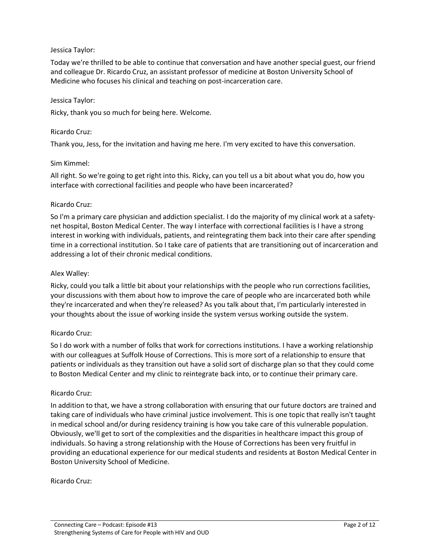# Jessica Taylor:

Today we're thrilled to be able to continue that conversation and have another special guest, our friend and colleague Dr. Ricardo Cruz, an assistant professor of medicine at Boston University School of Medicine who focuses his clinical and teaching on post-incarceration care.

### Jessica Taylor:

Ricky, thank you so much for being here. Welcome.

### Ricardo Cruz:

Thank you, Jess, for the invitation and having me here. I'm very excited to have this conversation.

### Sim Kimmel:

All right. So we're going to get right into this. Ricky, can you tell us a bit about what you do, how you interface with correctional facilities and people who have been incarcerated?

### Ricardo Cruz:

So I'm a primary care physician and addiction specialist. I do the majority of my clinical work at a safetynet hospital, Boston Medical Center. The way I interface with correctional facilities is I have a strong interest in working with individuals, patients, and reintegrating them back into their care after spending time in a correctional institution. So I take care of patients that are transitioning out of incarceration and addressing a lot of their chronic medical conditions.

### Alex Walley:

Ricky, could you talk a little bit about your relationships with the people who run corrections facilities, your discussions with them about how to improve the care of people who are incarcerated both while they're incarcerated and when they're released? As you talk about that, I'm particularly interested in your thoughts about the issue of working inside the system versus working outside the system.

### Ricardo Cruz:

So I do work with a number of folks that work for corrections institutions. I have a working relationship with our colleagues at Suffolk House of Corrections. This is more sort of a relationship to ensure that patients or individuals as they transition out have a solid sort of discharge plan so that they could come to Boston Medical Center and my clinic to reintegrate back into, or to continue their primary care.

### Ricardo Cruz:

In addition to that, we have a strong collaboration with ensuring that our future doctors are trained and taking care of individuals who have criminal justice involvement. This is one topic that really isn't taught in medical school and/or during residency training is how you take care of this vulnerable population. Obviously, we'll get to sort of the complexities and the disparities in healthcare impact this group of individuals. So having a strong relationship with the House of Corrections has been very fruitful in providing an educational experience for our medical students and residents at Boston Medical Center in Boston University School of Medicine.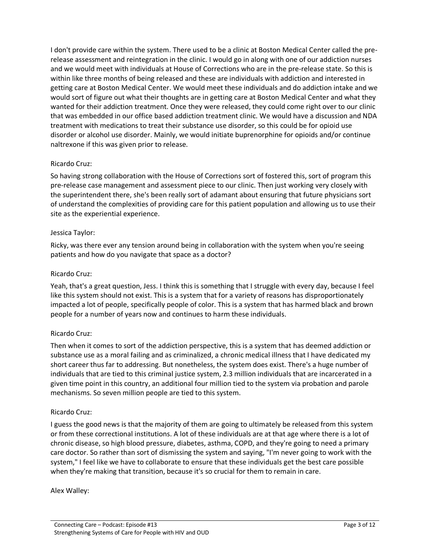I don't provide care within the system. There used to be a clinic at Boston Medical Center called the prerelease assessment and reintegration in the clinic. I would go in along with one of our addiction nurses and we would meet with individuals at House of Corrections who are in the pre-release state. So this is within like three months of being released and these are individuals with addiction and interested in getting care at Boston Medical Center. We would meet these individuals and do addiction intake and we would sort of figure out what their thoughts are in getting care at Boston Medical Center and what they wanted for their addiction treatment. Once they were released, they could come right over to our clinic that was embedded in our office based addiction treatment clinic. We would have a discussion and NDA treatment with medications to treat their substance use disorder, so this could be for opioid use disorder or alcohol use disorder. Mainly, we would initiate buprenorphine for opioids and/or continue naltrexone if this was given prior to release.

# Ricardo Cruz:

So having strong collaboration with the House of Corrections sort of fostered this, sort of program this pre-release case management and assessment piece to our clinic. Then just working very closely with the superintendent there, she's been really sort of adamant about ensuring that future physicians sort of understand the complexities of providing care for this patient population and allowing us to use their site as the experiential experience.

### Jessica Taylor:

Ricky, was there ever any tension around being in collaboration with the system when you're seeing patients and how do you navigate that space as a doctor?

# Ricardo Cruz:

Yeah, that's a great question, Jess. I think this is something that I struggle with every day, because I feel like this system should not exist. This is a system that for a variety of reasons has disproportionately impacted a lot of people, specifically people of color. This is a system that has harmed black and brown people for a number of years now and continues to harm these individuals.

# Ricardo Cruz:

Then when it comes to sort of the addiction perspective, this is a system that has deemed addiction or substance use as a moral failing and as criminalized, a chronic medical illness that I have dedicated my short career thus far to addressing. But nonetheless, the system does exist. There's a huge number of individuals that are tied to this criminal justice system, 2.3 million individuals that are incarcerated in a given time point in this country, an additional four million tied to the system via probation and parole mechanisms. So seven million people are tied to this system.

### Ricardo Cruz:

I guess the good news is that the majority of them are going to ultimately be released from this system or from these correctional institutions. A lot of these individuals are at that age where there is a lot of chronic disease, so high blood pressure, diabetes, asthma, COPD, and they're going to need a primary care doctor. So rather than sort of dismissing the system and saying, "I'm never going to work with the system," I feel like we have to collaborate to ensure that these individuals get the best care possible when they're making that transition, because it's so crucial for them to remain in care.

### Alex Walley: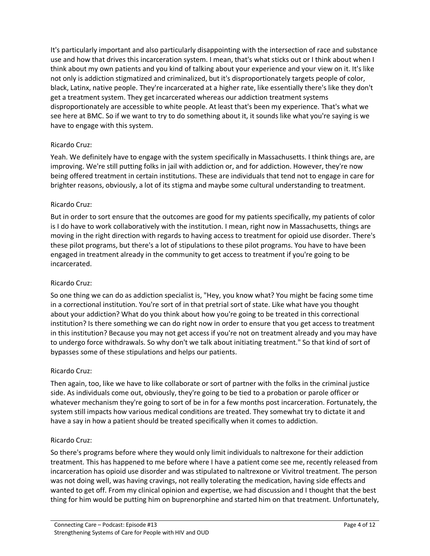It's particularly important and also particularly disappointing with the intersection of race and substance use and how that drives this incarceration system. I mean, that's what sticks out or I think about when I think about my own patients and you kind of talking about your experience and your view on it. It's like not only is addiction stigmatized and criminalized, but it's disproportionately targets people of color, black, Latinx, native people. They're incarcerated at a higher rate, like essentially there's like they don't get a treatment system. They get incarcerated whereas our addiction treatment systems disproportionately are accessible to white people. At least that's been my experience. That's what we see here at BMC. So if we want to try to do something about it, it sounds like what you're saying is we have to engage with this system.

# Ricardo Cruz:

Yeah. We definitely have to engage with the system specifically in Massachusetts. I think things are, are improving. We're still putting folks in jail with addiction or, and for addiction. However, they're now being offered treatment in certain institutions. These are individuals that tend not to engage in care for brighter reasons, obviously, a lot of its stigma and maybe some cultural understanding to treatment.

# Ricardo Cruz:

But in order to sort ensure that the outcomes are good for my patients specifically, my patients of color is I do have to work collaboratively with the institution. I mean, right now in Massachusetts, things are moving in the right direction with regards to having access to treatment for opioid use disorder. There's these pilot programs, but there's a lot of stipulations to these pilot programs. You have to have been engaged in treatment already in the community to get access to treatment if you're going to be incarcerated.

### Ricardo Cruz:

So one thing we can do as addiction specialist is, "Hey, you know what? You might be facing some time in a correctional institution. You're sort of in that pretrial sort of state. Like what have you thought about your addiction? What do you think about how you're going to be treated in this correctional institution? Is there something we can do right now in order to ensure that you get access to treatment in this institution? Because you may not get access if you're not on treatment already and you may have to undergo force withdrawals. So why don't we talk about initiating treatment." So that kind of sort of bypasses some of these stipulations and helps our patients.

### Ricardo Cruz:

Then again, too, like we have to like collaborate or sort of partner with the folks in the criminal justice side. As individuals come out, obviously, they're going to be tied to a probation or parole officer or whatever mechanism they're going to sort of be in for a few months post incarceration. Fortunately, the system still impacts how various medical conditions are treated. They somewhat try to dictate it and have a say in how a patient should be treated specifically when it comes to addiction.

### Ricardo Cruz:

So there's programs before where they would only limit individuals to naltrexone for their addiction treatment. This has happened to me before where I have a patient come see me, recently released from incarceration has opioid use disorder and was stipulated to naltrexone or Vivitrol treatment. The person was not doing well, was having cravings, not really tolerating the medication, having side effects and wanted to get off. From my clinical opinion and expertise, we had discussion and I thought that the best thing for him would be putting him on buprenorphine and started him on that treatment. Unfortunately,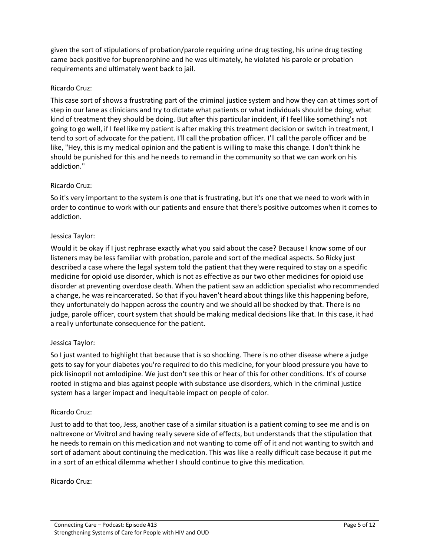given the sort of stipulations of probation/parole requiring urine drug testing, his urine drug testing came back positive for buprenorphine and he was ultimately, he violated his parole or probation requirements and ultimately went back to jail.

# Ricardo Cruz:

This case sort of shows a frustrating part of the criminal justice system and how they can at times sort of step in our lane as clinicians and try to dictate what patients or what individuals should be doing, what kind of treatment they should be doing. But after this particular incident, if I feel like something's not going to go well, if I feel like my patient is after making this treatment decision or switch in treatment, I tend to sort of advocate for the patient. I'll call the probation officer. I'll call the parole officer and be like, "Hey, this is my medical opinion and the patient is willing to make this change. I don't think he should be punished for this and he needs to remand in the community so that we can work on his addiction."

# Ricardo Cruz:

So it's very important to the system is one that is frustrating, but it's one that we need to work with in order to continue to work with our patients and ensure that there's positive outcomes when it comes to addiction.

# Jessica Taylor:

Would it be okay if I just rephrase exactly what you said about the case? Because I know some of our listeners may be less familiar with probation, parole and sort of the medical aspects. So Ricky just described a case where the legal system told the patient that they were required to stay on a specific medicine for opioid use disorder, which is not as effective as our two other medicines for opioid use disorder at preventing overdose death. When the patient saw an addiction specialist who recommended a change, he was reincarcerated. So that if you haven't heard about things like this happening before, they unfortunately do happen across the country and we should all be shocked by that. There is no judge, parole officer, court system that should be making medical decisions like that. In this case, it had a really unfortunate consequence for the patient.

# Jessica Taylor:

So I just wanted to highlight that because that is so shocking. There is no other disease where a judge gets to say for your diabetes you're required to do this medicine, for your blood pressure you have to pick lisinopril not amlodipine. We just don't see this or hear of this for other conditions. It's of course rooted in stigma and bias against people with substance use disorders, which in the criminal justice system has a larger impact and inequitable impact on people of color.

### Ricardo Cruz:

Just to add to that too, Jess, another case of a similar situation is a patient coming to see me and is on naltrexone or Vivitrol and having really severe side of effects, but understands that the stipulation that he needs to remain on this medication and not wanting to come off of it and not wanting to switch and sort of adamant about continuing the medication. This was like a really difficult case because it put me in a sort of an ethical dilemma whether I should continue to give this medication.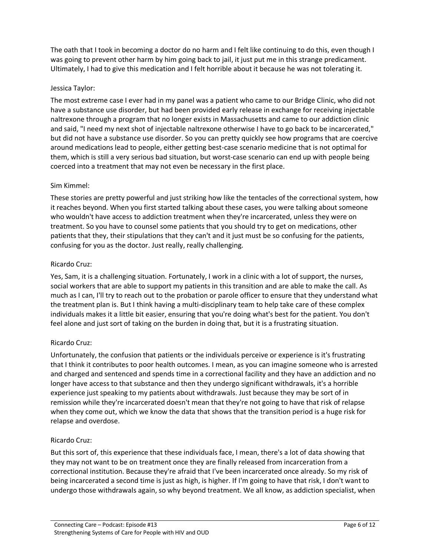The oath that I took in becoming a doctor do no harm and I felt like continuing to do this, even though I was going to prevent other harm by him going back to jail, it just put me in this strange predicament. Ultimately, I had to give this medication and I felt horrible about it because he was not tolerating it.

# Jessica Taylor:

The most extreme case I ever had in my panel was a patient who came to our Bridge Clinic, who did not have a substance use disorder, but had been provided early release in exchange for receiving injectable naltrexone through a program that no longer exists in Massachusetts and came to our addiction clinic and said, "I need my next shot of injectable naltrexone otherwise I have to go back to be incarcerated," but did not have a substance use disorder. So you can pretty quickly see how programs that are coercive around medications lead to people, either getting best-case scenario medicine that is not optimal for them, which is still a very serious bad situation, but worst-case scenario can end up with people being coerced into a treatment that may not even be necessary in the first place.

# Sim Kimmel:

These stories are pretty powerful and just striking how like the tentacles of the correctional system, how it reaches beyond. When you first started talking about these cases, you were talking about someone who wouldn't have access to addiction treatment when they're incarcerated, unless they were on treatment. So you have to counsel some patients that you should try to get on medications, other patients that they, their stipulations that they can't and it just must be so confusing for the patients, confusing for you as the doctor. Just really, really challenging.

# Ricardo Cruz:

Yes, Sam, it is a challenging situation. Fortunately, I work in a clinic with a lot of support, the nurses, social workers that are able to support my patients in this transition and are able to make the call. As much as I can, I'll try to reach out to the probation or parole officer to ensure that they understand what the treatment plan is. But I think having a multi-disciplinary team to help take care of these complex individuals makes it a little bit easier, ensuring that you're doing what's best for the patient. You don't feel alone and just sort of taking on the burden in doing that, but it is a frustrating situation.

# Ricardo Cruz:

Unfortunately, the confusion that patients or the individuals perceive or experience is it's frustrating that I think it contributes to poor health outcomes. I mean, as you can imagine someone who is arrested and charged and sentenced and spends time in a correctional facility and they have an addiction and no longer have access to that substance and then they undergo significant withdrawals, it's a horrible experience just speaking to my patients about withdrawals. Just because they may be sort of in remission while they're incarcerated doesn't mean that they're not going to have that risk of relapse when they come out, which we know the data that shows that the transition period is a huge risk for relapse and overdose.

# Ricardo Cruz:

But this sort of, this experience that these individuals face, I mean, there's a lot of data showing that they may not want to be on treatment once they are finally released from incarceration from a correctional institution. Because they're afraid that I've been incarcerated once already. So my risk of being incarcerated a second time is just as high, is higher. If I'm going to have that risk, I don't want to undergo those withdrawals again, so why beyond treatment. We all know, as addiction specialist, when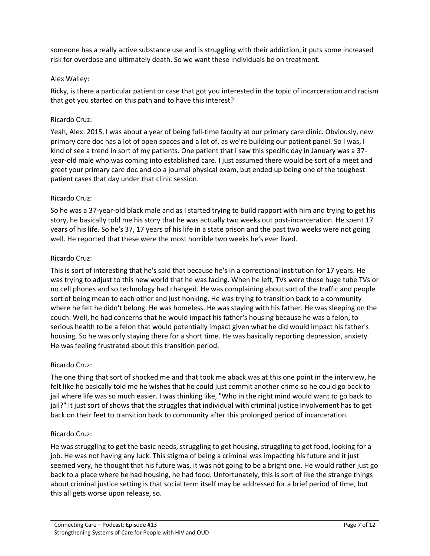someone has a really active substance use and is struggling with their addiction, it puts some increased risk for overdose and ultimately death. So we want these individuals be on treatment.

# Alex Walley:

Ricky, is there a particular patient or case that got you interested in the topic of incarceration and racism that got you started on this path and to have this interest?

# Ricardo Cruz:

Yeah, Alex. 2015, I was about a year of being full-time faculty at our primary care clinic. Obviously, new primary care doc has a lot of open spaces and a lot of, as we're building our patient panel. So I was, I kind of see a trend in sort of my patients. One patient that I saw this specific day in January was a 37 year-old male who was coming into established care. I just assumed there would be sort of a meet and greet your primary care doc and do a journal physical exam, but ended up being one of the toughest patient cases that day under that clinic session.

# Ricardo Cruz:

So he was a 37-year-old black male and as I started trying to build rapport with him and trying to get his story, he basically told me his story that he was actually two weeks out post-incarceration. He spent 17 years of his life. So he's 37, 17 years of his life in a state prison and the past two weeks were not going well. He reported that these were the most horrible two weeks he's ever lived.

# Ricardo Cruz:

This is sort of interesting that he's said that because he's in a correctional institution for 17 years. He was trying to adjust to this new world that he was facing. When he left, TVs were those huge tube TVs or no cell phones and so technology had changed. He was complaining about sort of the traffic and people sort of being mean to each other and just honking. He was trying to transition back to a community where he felt he didn't belong. He was homeless. He was staying with his father. He was sleeping on the couch. Well, he had concerns that he would impact his father's housing because he was a felon, to serious health to be a felon that would potentially impact given what he did would impact his father's housing. So he was only staying there for a short time. He was basically reporting depression, anxiety. He was feeling frustrated about this transition period.

# Ricardo Cruz:

The one thing that sort of shocked me and that took me aback was at this one point in the interview, he felt like he basically told me he wishes that he could just commit another crime so he could go back to jail where life was so much easier. I was thinking like, "Who in the right mind would want to go back to jail?" It just sort of shows that the struggles that individual with criminal justice involvement has to get back on their feet to transition back to community after this prolonged period of incarceration.

# Ricardo Cruz:

He was struggling to get the basic needs, struggling to get housing, struggling to get food, looking for a job. He was not having any luck. This stigma of being a criminal was impacting his future and it just seemed very, he thought that his future was, it was not going to be a bright one. He would rather just go back to a place where he had housing, he had food. Unfortunately, this is sort of like the strange things about criminal justice setting is that social term itself may be addressed for a brief period of time, but this all gets worse upon release, so.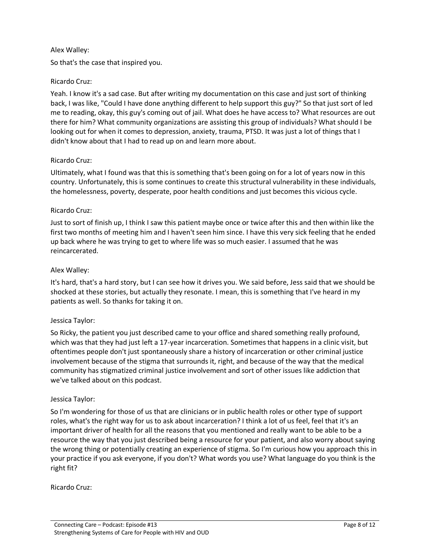# Alex Walley:

So that's the case that inspired you.

# Ricardo Cruz:

Yeah. I know it's a sad case. But after writing my documentation on this case and just sort of thinking back, I was like, "Could I have done anything different to help support this guy?" So that just sort of led me to reading, okay, this guy's coming out of jail. What does he have access to? What resources are out there for him? What community organizations are assisting this group of individuals? What should I be looking out for when it comes to depression, anxiety, trauma, PTSD. It was just a lot of things that I didn't know about that I had to read up on and learn more about.

### Ricardo Cruz:

Ultimately, what I found was that this is something that's been going on for a lot of years now in this country. Unfortunately, this is some continues to create this structural vulnerability in these individuals, the homelessness, poverty, desperate, poor health conditions and just becomes this vicious cycle.

### Ricardo Cruz:

Just to sort of finish up, I think I saw this patient maybe once or twice after this and then within like the first two months of meeting him and I haven't seen him since. I have this very sick feeling that he ended up back where he was trying to get to where life was so much easier. I assumed that he was reincarcerated.

# Alex Walley:

It's hard, that's a hard story, but I can see how it drives you. We said before, Jess said that we should be shocked at these stories, but actually they resonate. I mean, this is something that I've heard in my patients as well. So thanks for taking it on.

### Jessica Taylor:

So Ricky, the patient you just described came to your office and shared something really profound, which was that they had just left a 17-year incarceration. Sometimes that happens in a clinic visit, but oftentimes people don't just spontaneously share a history of incarceration or other criminal justice involvement because of the stigma that surrounds it, right, and because of the way that the medical community has stigmatized criminal justice involvement and sort of other issues like addiction that we've talked about on this podcast.

### Jessica Taylor:

So I'm wondering for those of us that are clinicians or in public health roles or other type of support roles, what's the right way for us to ask about incarceration? I think a lot of us feel, feel that it's an important driver of health for all the reasons that you mentioned and really want to be able to be a resource the way that you just described being a resource for your patient, and also worry about saying the wrong thing or potentially creating an experience of stigma. So I'm curious how you approach this in your practice if you ask everyone, if you don't? What words you use? What language do you think is the right fit?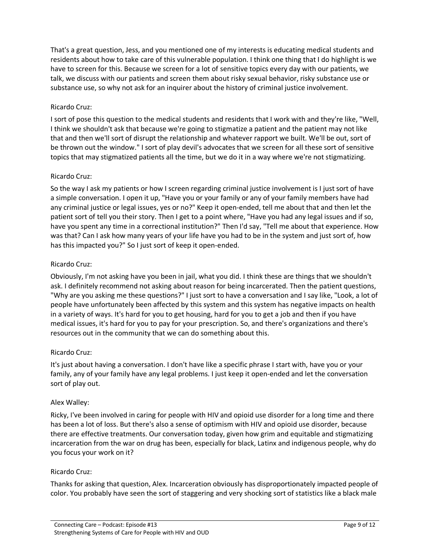That's a great question, Jess, and you mentioned one of my interests is educating medical students and residents about how to take care of this vulnerable population. I think one thing that I do highlight is we have to screen for this. Because we screen for a lot of sensitive topics every day with our patients, we talk, we discuss with our patients and screen them about risky sexual behavior, risky substance use or substance use, so why not ask for an inquirer about the history of criminal justice involvement.

### Ricardo Cruz:

I sort of pose this question to the medical students and residents that I work with and they're like, "Well, I think we shouldn't ask that because we're going to stigmatize a patient and the patient may not like that and then we'll sort of disrupt the relationship and whatever rapport we built. We'll be out, sort of be thrown out the window." I sort of play devil's advocates that we screen for all these sort of sensitive topics that may stigmatized patients all the time, but we do it in a way where we're not stigmatizing.

# Ricardo Cruz:

So the way I ask my patients or how I screen regarding criminal justice involvement is I just sort of have a simple conversation. I open it up, "Have you or your family or any of your family members have had any criminal justice or legal issues, yes or no?" Keep it open-ended, tell me about that and then let the patient sort of tell you their story. Then I get to a point where, "Have you had any legal issues and if so, have you spent any time in a correctional institution?" Then I'd say, "Tell me about that experience. How was that? Can I ask how many years of your life have you had to be in the system and just sort of, how has this impacted you?" So I just sort of keep it open-ended.

# Ricardo Cruz:

Obviously, I'm not asking have you been in jail, what you did. I think these are things that we shouldn't ask. I definitely recommend not asking about reason for being incarcerated. Then the patient questions, "Why are you asking me these questions?" I just sort to have a conversation and I say like, "Look, a lot of people have unfortunately been affected by this system and this system has negative impacts on health in a variety of ways. It's hard for you to get housing, hard for you to get a job and then if you have medical issues, it's hard for you to pay for your prescription. So, and there's organizations and there's resources out in the community that we can do something about this.

### Ricardo Cruz:

It's just about having a conversation. I don't have like a specific phrase I start with, have you or your family, any of your family have any legal problems. I just keep it open-ended and let the conversation sort of play out.

### Alex Walley:

Ricky, I've been involved in caring for people with HIV and opioid use disorder for a long time and there has been a lot of loss. But there's also a sense of optimism with HIV and opioid use disorder, because there are effective treatments. Our conversation today, given how grim and equitable and stigmatizing incarceration from the war on drug has been, especially for black, Latinx and indigenous people, why do you focus your work on it?

### Ricardo Cruz:

Thanks for asking that question, Alex. Incarceration obviously has disproportionately impacted people of color. You probably have seen the sort of staggering and very shocking sort of statistics like a black male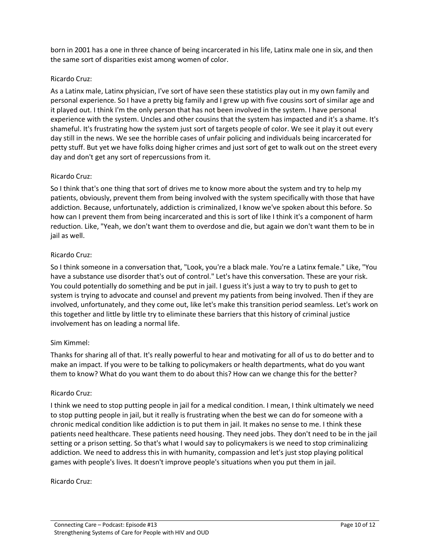born in 2001 has a one in three chance of being incarcerated in his life, Latinx male one in six, and then the same sort of disparities exist among women of color.

### Ricardo Cruz:

As a Latinx male, Latinx physician, I've sort of have seen these statistics play out in my own family and personal experience. So I have a pretty big family and I grew up with five cousins sort of similar age and it played out. I think I'm the only person that has not been involved in the system. I have personal experience with the system. Uncles and other cousins that the system has impacted and it's a shame. It's shameful. It's frustrating how the system just sort of targets people of color. We see it play it out every day still in the news. We see the horrible cases of unfair policing and individuals being incarcerated for petty stuff. But yet we have folks doing higher crimes and just sort of get to walk out on the street every day and don't get any sort of repercussions from it.

# Ricardo Cruz:

So I think that's one thing that sort of drives me to know more about the system and try to help my patients, obviously, prevent them from being involved with the system specifically with those that have addiction. Because, unfortunately, addiction is criminalized, I know we've spoken about this before. So how can I prevent them from being incarcerated and this is sort of like I think it's a component of harm reduction. Like, "Yeah, we don't want them to overdose and die, but again we don't want them to be in jail as well.

# Ricardo Cruz:

So I think someone in a conversation that, "Look, you're a black male. You're a Latinx female." Like, "You have a substance use disorder that's out of control." Let's have this conversation. These are your risk. You could potentially do something and be put in jail. I guess it's just a way to try to push to get to system is trying to advocate and counsel and prevent my patients from being involved. Then if they are involved, unfortunately, and they come out, like let's make this transition period seamless. Let's work on this together and little by little try to eliminate these barriers that this history of criminal justice involvement has on leading a normal life.

### Sim Kimmel:

Thanks for sharing all of that. It's really powerful to hear and motivating for all of us to do better and to make an impact. If you were to be talking to policymakers or health departments, what do you want them to know? What do you want them to do about this? How can we change this for the better?

### Ricardo Cruz:

I think we need to stop putting people in jail for a medical condition. I mean, I think ultimately we need to stop putting people in jail, but it really is frustrating when the best we can do for someone with a chronic medical condition like addiction is to put them in jail. It makes no sense to me. I think these patients need healthcare. These patients need housing. They need jobs. They don't need to be in the jail setting or a prison setting. So that's what I would say to policymakers is we need to stop criminalizing addiction. We need to address this in with humanity, compassion and let's just stop playing political games with people's lives. It doesn't improve people's situations when you put them in jail.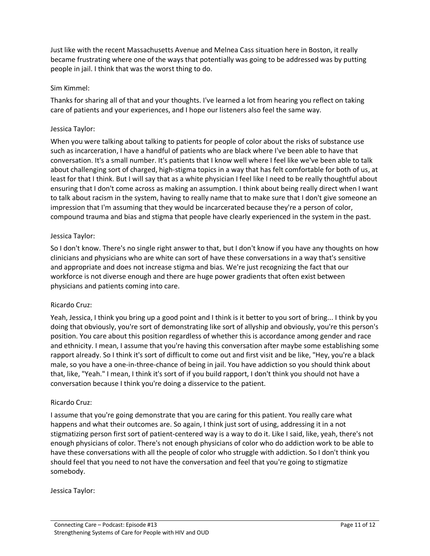Just like with the recent Massachusetts Avenue and Melnea Cass situation here in Boston, it really became frustrating where one of the ways that potentially was going to be addressed was by putting people in jail. I think that was the worst thing to do.

# Sim Kimmel:

Thanks for sharing all of that and your thoughts. I've learned a lot from hearing you reflect on taking care of patients and your experiences, and I hope our listeners also feel the same way.

# Jessica Taylor:

When you were talking about talking to patients for people of color about the risks of substance use such as incarceration, I have a handful of patients who are black where I've been able to have that conversation. It's a small number. It's patients that I know well where I feel like we've been able to talk about challenging sort of charged, high-stigma topics in a way that has felt comfortable for both of us, at least for that I think. But I will say that as a white physician I feel like I need to be really thoughtful about ensuring that I don't come across as making an assumption. I think about being really direct when I want to talk about racism in the system, having to really name that to make sure that I don't give someone an impression that I'm assuming that they would be incarcerated because they're a person of color, compound trauma and bias and stigma that people have clearly experienced in the system in the past.

# Jessica Taylor:

So I don't know. There's no single right answer to that, but I don't know if you have any thoughts on how clinicians and physicians who are white can sort of have these conversations in a way that's sensitive and appropriate and does not increase stigma and bias. We're just recognizing the fact that our workforce is not diverse enough and there are huge power gradients that often exist between physicians and patients coming into care.

### Ricardo Cruz:

Yeah, Jessica, I think you bring up a good point and I think is it better to you sort of bring... I think by you doing that obviously, you're sort of demonstrating like sort of allyship and obviously, you're this person's position. You care about this position regardless of whether this is accordance among gender and race and ethnicity. I mean, I assume that you're having this conversation after maybe some establishing some rapport already. So I think it's sort of difficult to come out and first visit and be like, "Hey, you're a black male, so you have a one-in-three-chance of being in jail. You have addiction so you should think about that, like, "Yeah." I mean, I think it's sort of if you build rapport, I don't think you should not have a conversation because I think you're doing a disservice to the patient.

### Ricardo Cruz:

I assume that you're going demonstrate that you are caring for this patient. You really care what happens and what their outcomes are. So again, I think just sort of using, addressing it in a not stigmatizing person first sort of patient-centered way is a way to do it. Like I said, like, yeah, there's not enough physicians of color. There's not enough physicians of color who do addiction work to be able to have these conversations with all the people of color who struggle with addiction. So I don't think you should feel that you need to not have the conversation and feel that you're going to stigmatize somebody.

### Jessica Taylor: